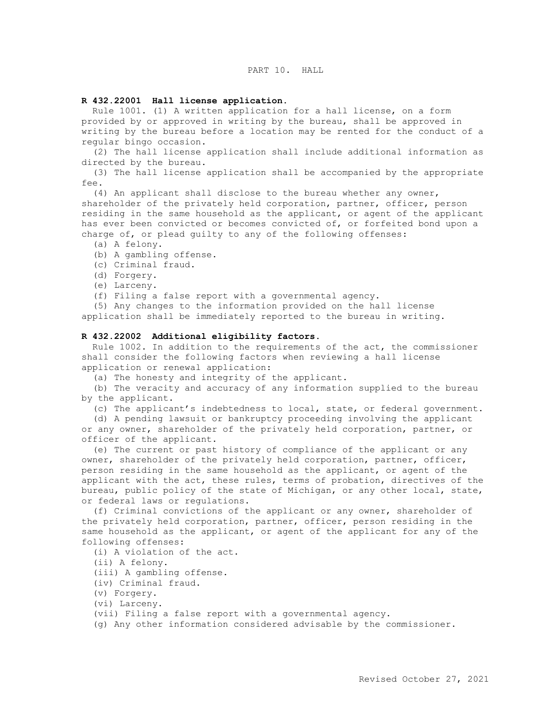# PART 10. HALL

#### **R 432.22001 Hall license application.**

 Rule 1001. (1) A written application for a hall license, on a form provided by or approved in writing by the bureau, shall be approved in writing by the bureau before a location may be rented for the conduct of a regular bingo occasion.

 (2) The hall license application shall include additional information as directed by the bureau.

 (3) The hall license application shall be accompanied by the appropriate  $f \nightharpoonup$ 

 (4) An applicant shall disclose to the bureau whether any owner, shareholder of the privately held corporation, partner, officer, person residing in the same household as the applicant, or agent of the applicant has ever been convicted or becomes convicted of, or forfeited bond upon a charge of, or plead guilty to any of the following offenses:

- (a) A felony.
- (b) A gambling offense.
- (c) Criminal fraud.
- (d) Forgery.
- (e) Larceny.
- (f) Filing a false report with a governmental agency.

 (5) Any changes to the information provided on the hall license application shall be immediately reported to the bureau in writing.

#### **R 432.22002 Additional eligibility factors.**

 Rule 1002. In addition to the requirements of the act, the commissioner shall consider the following factors when reviewing a hall license application or renewal application:

(a) The honesty and integrity of the applicant.

 (b) The veracity and accuracy of any information supplied to the bureau by the applicant.

(c) The applicant's indebtedness to local, state, or federal government.

 (d) A pending lawsuit or bankruptcy proceeding involving the applicant or any owner, shareholder of the privately held corporation, partner, or officer of the applicant.

 (e) The current or past history of compliance of the applicant or any owner, shareholder of the privately held corporation, partner, officer, person residing in the same household as the applicant, or agent of the applicant with the act, these rules, terms of probation, directives of the bureau, public policy of the state of Michigan, or any other local, state, or federal laws or regulations.

 (f) Criminal convictions of the applicant or any owner, shareholder of the privately held corporation, partner, officer, person residing in the same household as the applicant, or agent of the applicant for any of the following offenses:

(i) A violation of the act.

(ii) A felony.

(iii) A gambling offense.

(iv) Criminal fraud.

(v) Forgery.

(vi) Larceny.

(vii) Filing a false report with a governmental agency.

(g) Any other information considered advisable by the commissioner.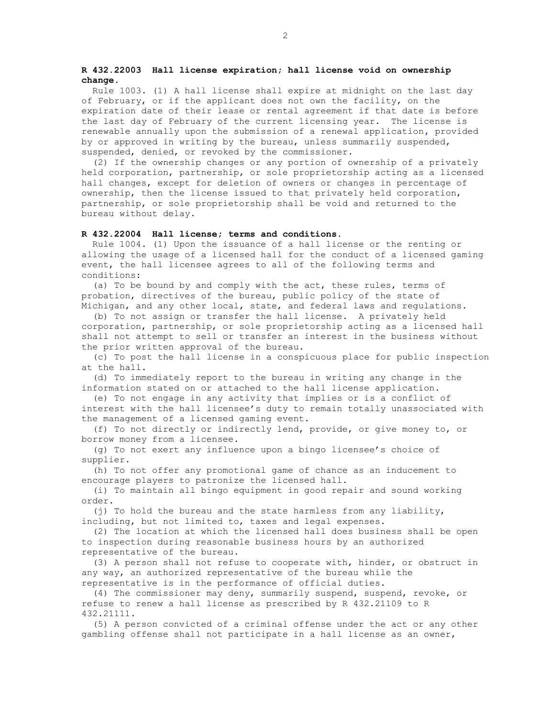## **R 432.22003 Hall license expiration; hall license void on ownership change.**

 Rule 1003. (1) A hall license shall expire at midnight on the last day of February, or if the applicant does not own the facility, on the expiration date of their lease or rental agreement if that date is before the last day of February of the current licensing year. The license is renewable annually upon the submission of a renewal application**,** provided by or approved in writing by the bureau, unless summarily suspended, suspended, denied, or revoked by the commissioner.

 (2) If the ownership changes or any portion of ownership of a privately held corporation, partnership, or sole proprietorship acting as a licensed hall changes, except for deletion of owners or changes in percentage of ownership, then the license issued to that privately held corporation, partnership, or sole proprietorship shall be void and returned to the bureau without delay.

#### **R 432.22004 Hall license; terms and conditions.**

 Rule 1004. (1) Upon the issuance of a hall license or the renting or allowing the usage of a licensed hall for the conduct of a licensed gaming event, the hall licensee agrees to all of the following terms and conditions:

 (a) To be bound by and comply with the act, these rules, terms of probation, directives of the bureau, public policy of the state of Michigan, and any other local, state, and federal laws and regulations.

 (b) To not assign or transfer the hall license. A privately held corporation, partnership, or sole proprietorship acting as a licensed hall shall not attempt to sell or transfer an interest in the business without the prior written approval of the bureau.

 (c) To post the hall license in a conspicuous place for public inspection at the hall.

 (d) To immediately report to the bureau in writing any change in the information stated on or attached to the hall license application.

 (e) To not engage in any activity that implies or is a conflict of interest with the hall licensee's duty to remain totally unassociated with the management of a licensed gaming event.

 (f) To not directly or indirectly lend, provide, or give money to, or borrow money from a licensee.

 (g) To not exert any influence upon a bingo licensee's choice of supplier.

 (h) To not offer any promotional game of chance as an inducement to encourage players to patronize the licensed hall.

 (i) To maintain all bingo equipment in good repair and sound working order.

 (j) To hold the bureau and the state harmless from any liability, including, but not limited to, taxes and legal expenses.

 (2) The location at which the licensed hall does business shall be open to inspection during reasonable business hours by an authorized representative of the bureau.

 (3) A person shall not refuse to cooperate with, hinder, or obstruct in any way, an authorized representative of the bureau while the representative is in the performance of official duties.

 (4) The commissioner may deny, summarily suspend, suspend, revoke, or refuse to renew a hall license as prescribed by R 432.21109 to R 432.21111.

 (5) A person convicted of a criminal offense under the act or any other gambling offense shall not participate in a hall license as an owner,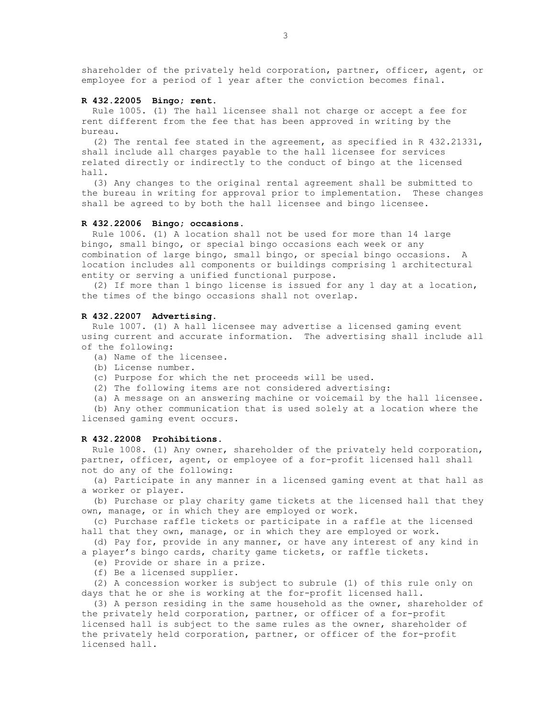shareholder of the privately held corporation, partner, officer, agent, or employee for a period of 1 year after the conviction becomes final.

### **R 432.22005 Bingo; rent.**

 Rule 1005. (1) The hall licensee shall not charge or accept a fee for rent different from the fee that has been approved in writing by the bureau.

 (2) The rental fee stated in the agreement, as specified in R 432.21331, shall include all charges payable to the hall licensee for services related directly or indirectly to the conduct of bingo at the licensed hall.

 (3) Any changes to the original rental agreement shall be submitted to the bureau in writing for approval prior to implementation. These changes shall be agreed to by both the hall licensee and bingo licensee.

# **R 432.22006 Bingo; occasions.**

 Rule 1006. (1) A location shall not be used for more than 14 large bingo, small bingo, or special bingo occasions each week or any combination of large bingo, small bingo, or special bingo occasions. A location includes all components or buildings comprising 1 architectural entity or serving a unified functional purpose.

 (2) If more than 1 bingo license is issued for any 1 day at a location, the times of the bingo occasions shall not overlap.

#### **R 432.22007 Advertising.**

 Rule 1007. (1) A hall licensee may advertise a licensed gaming event using current and accurate information. The advertising shall include all of the following:

- (a) Name of the licensee.
- (b) License number.
- (c) Purpose for which the net proceeds will be used.
- (2) The following items are not considered advertising:

 (a) A message on an answering machine or voicemail by the hall licensee. (b) Any other communication that is used solely at a location where the

licensed gaming event occurs.

### **R 432.22008 Prohibitions.**

 Rule 1008. (1) Any owner, shareholder of the privately held corporation, partner, officer, agent, or employee of a for-profit licensed hall shall not do any of the following:

 (a) Participate in any manner in a licensed gaming event at that hall as a worker or player.

 (b) Purchase or play charity game tickets at the licensed hall that they own, manage, or in which they are employed or work.

 (c) Purchase raffle tickets or participate in a raffle at the licensed hall that they own, manage, or in which they are employed or work.

 (d) Pay for, provide in any manner, or have any interest of any kind in a player's bingo cards, charity game tickets, or raffle tickets.

(e) Provide or share in a prize.

(f) Be a licensed supplier.

 (2) A concession worker is subject to subrule (1) of this rule only on days that he or she is working at the for-profit licensed hall.

 (3) A person residing in the same household as the owner, shareholder of the privately held corporation, partner, or officer of a for-profit licensed hall is subject to the same rules as the owner, shareholder of the privately held corporation, partner, or officer of the for-profit licensed hall.